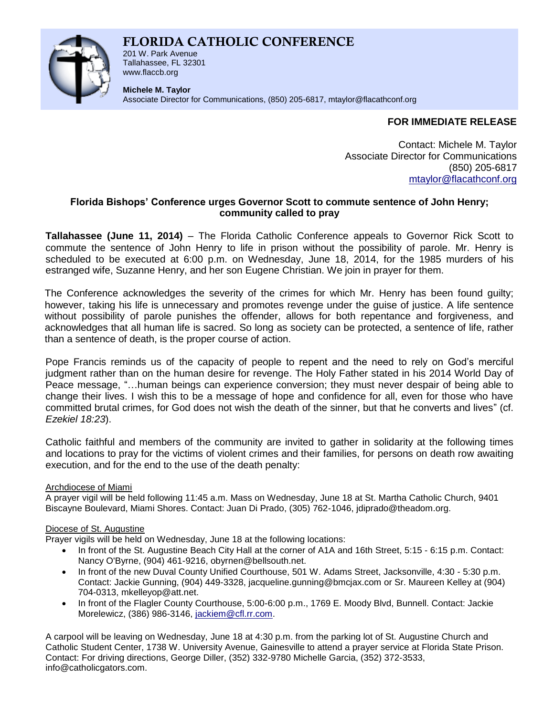# **FLORIDA CATHOLIC CONFERENCE**



201 W. Park Avenue Tallahassee, FL 32301 www.flaccb.org

**Michele M. Taylor** Associate Director for Communications, (850) 205-6817, [mtaylor@flacathconf.org](mailto:mtaylor@flacathconf.org)

# **FOR IMMEDIATE RELEASE**

Contact: Michele M. Taylor Associate Director for Communications (850) 205-6817 [mtaylor@flacathconf.org](mailto:mtaylor@flacathconf.org)

## **Florida Bishops' Conference urges Governor Scott to commute sentence of John Henry; community called to pray**

**Tallahassee (June 11, 2014)** – The Florida Catholic Conference appeals to Governor Rick Scott to commute the sentence of John Henry to life in prison without the possibility of parole. Mr. Henry is scheduled to be executed at 6:00 p.m. on Wednesday, June 18, 2014, for the 1985 murders of his estranged wife, Suzanne Henry, and her son Eugene Christian. We join in prayer for them.

The Conference acknowledges the severity of the crimes for which Mr. Henry has been found guilty; however, taking his life is unnecessary and promotes revenge under the guise of justice. A life sentence without possibility of parole punishes the offender, allows for both repentance and forgiveness, and acknowledges that all human life is sacred. So long as society can be protected, a sentence of life, rather than a sentence of death, is the proper course of action.

Pope Francis reminds us of the capacity of people to repent and the need to rely on God's merciful judgment rather than on the human desire for revenge. The Holy Father stated in his 2014 World Day of Peace message, "…human beings can experience conversion; they must never despair of being able to change their lives. I wish this to be a message of hope and confidence for all, even for those who have committed brutal crimes, for God does not wish the death of the sinner, but that he converts and lives" (cf. *Ezekiel 18:23*).

Catholic faithful and members of the community are invited to gather in solidarity at the following times and locations to pray for the victims of violent crimes and their families, for persons on death row awaiting execution, and for the end to the use of the death penalty:

## Archdiocese of Miami

A prayer vigil will be held following 11:45 a.m. Mass on Wednesday, June 18 at St. Martha Catholic Church, 9401 Biscayne Boulevard, Miami Shores. Contact: Juan Di Prado, (305) 762-1046, jdiprado@theadom.org.

## Diocese of St. Augustine

Prayer vigils will be held on Wednesday, June 18 at the following locations:

- In front of the St. Augustine Beach City Hall at the corner of A1A and 16th Street, 5:15 6:15 p.m. Contact: Nancy O'Byrne, (904) 461-9216, obyrnen@bellsouth.net.
- In front of the new Duval County Unified Courthouse, 501 W. Adams Street, Jacksonville, 4:30 5:30 p.m. Contact: Jackie Gunning, (904) 449-3328, jacqueline.gunning@bmcjax.com or Sr. Maureen Kelley at (904) 704-0313, mkelleyop@att.net.
- In front of the Flagler County Courthouse, 5:00-6:00 p.m., 1769 E. Moody Blvd, Bunnell. Contact: Jackie Morelewicz, (386) 986-3146, [jackiem@cfl.rr.com.](mailto:jackiem@cfl.rr.com)

A carpool will be leaving on Wednesday, June 18 at 4:30 p.m. from the parking lot of St. Augustine Church and Catholic Student Center, 1738 W. University Avenue, Gainesville to attend a prayer service at Florida State Prison. Contact: For driving directions, George Diller, (352) 332-9780 Michelle Garcia, (352) 372-3533, info@catholicgators.com.